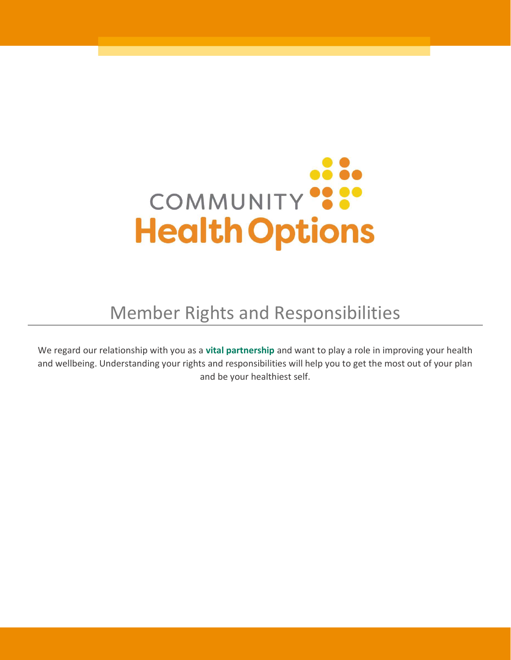

# Member Rights and Responsibilities

We regard our relationship with you as a vital partnership and want to play a role in improving your health and wellbeing. Understanding your rights and responsibilities will help you to get the most out of your plan and be your healthiest self.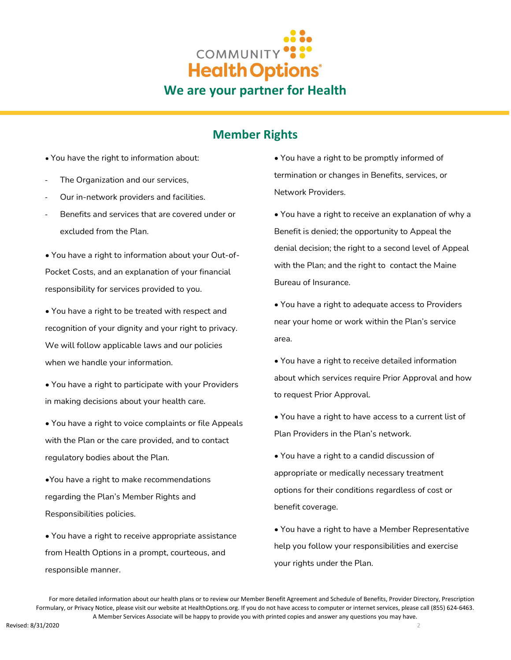

### Member Rights

- You have the right to information about:
- The Organization and our services,
- Our in-network providers and facilities.
- Benefits and services that are covered under or excluded from the Plan.

• You have a right to information about your Out‐of‐ Pocket Costs, and an explanation of your financial responsibility for services provided to you.

• You have a right to be treated with respect and recognition of your dignity and your right to privacy. We will follow applicable laws and our policies when we handle your information.

• You have a right to participate with your Providers in making decisions about your health care.

• You have a right to voice complaints or file Appeals with the Plan or the care provided, and to contact regulatory bodies about the Plan.

•You have a right to make recommendations regarding the Plan's Member Rights and Responsibilities policies.

• You have a right to receive appropriate assistance from Health Options in a prompt, courteous, and responsible manner.

• You have a right to be promptly informed of termination or changes in Benefits, services, or Network Providers.

• You have a right to receive an explanation of why a Benefit is denied; the opportunity to Appeal the denial decision; the right to a second level of Appeal with the Plan; and the right to contact the Maine Bureau of Insurance.

• You have a right to adequate access to Providers near your home or work within the Plan's service area.

- You have a right to receive detailed information about which services require Prior Approval and how to request Prior Approval.
- You have a right to have access to a current list of Plan Providers in the Plan's network.

• You have a right to a candid discussion of appropriate or medically necessary treatment options for their conditions regardless of cost or benefit coverage.

• You have a right to have a Member Representative help you follow your responsibilities and exercise your rights under the Plan.

 For more detailed information about our health plans or to review our Member Benefit Agreement and Schedule of Benefits, Provider Directory, Prescription Formulary, or Privacy Notice, please visit our website at HealthOptions.org. If you do not have access to computer or internet services, please call (855) 624-6463. A Member Services Associate will be happy to provide you with printed copies and answer any questions you may have.